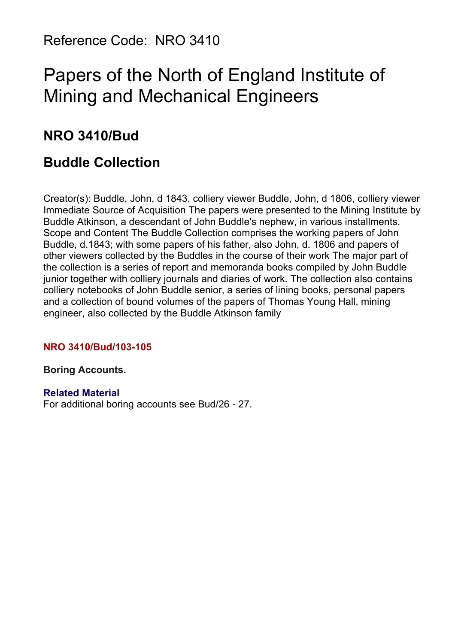Reference Code: NRO 3410

# Papers of the North of England Institute of Mining and Mechanical Engineers

# **NRO 3410/Bud**

# **Buddle Collection**

Creator(s): Buddle, John, d 1843, colliery viewer Buddle, John, d 1806, colliery viewer Immediate Source of Acquisition The papers were presented to the Mining Institute by Buddle Atkinson, a descendant of John Buddle's nephew, in various installments. Scope and Content The Buddle Collection comprises the working papers of John Buddle, d.1843; with some papers of his father, also John, d. 1806 and papers of other viewers collected by the Buddles in the course of their work The major part of the collection is a series of report and memoranda books compiled by John Buddle junior together with colliery journals and diaries of work. The collection also contains colliery notebooks of John Buddle senior, a series of lining books, personal papers and a collection of bound volumes of the papers of Thomas Young Hall, mining engineer, also collected by the Buddle Atkinson family

#### **NRO 3410/Bud/103-105**

#### **Boring Accounts.**

#### **Related Material**

For additional boring accounts see Bud/26 - 27.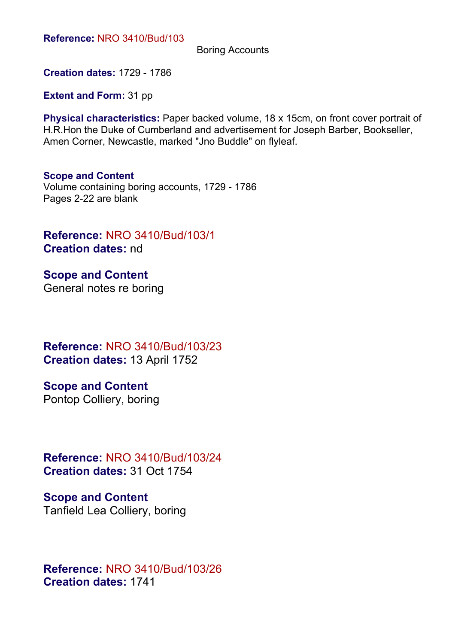**Reference:** NRO 3410/Bud/103

Boring Accounts

**Creation dates:** 1729 - 1786

**Extent and Form:** 31 pp

**Physical characteristics:** Paper backed volume, 18 x 15cm, on front cover portrait of H.R.Hon the Duke of Cumberland and advertisement for Joseph Barber, Bookseller, Amen Corner, Newcastle, marked "Jno Buddle" on flyleaf.

#### **Scope and Content**

Volume containing boring accounts, 1729 - 1786 Pages 2-22 are blank

**Reference:** NRO 3410/Bud/103/1 **Creation dates:** nd

**Scope and Content** General notes re boring

**Reference:** NRO 3410/Bud/103/23 **Creation dates:** 13 April 1752

**Scope and Content**

Pontop Colliery, boring

**Reference:** NRO 3410/Bud/103/24 **Creation dates:** 31 Oct 1754

**Scope and Content** Tanfield Lea Colliery, boring

**Reference:** NRO 3410/Bud/103/26 **Creation dates:** 1741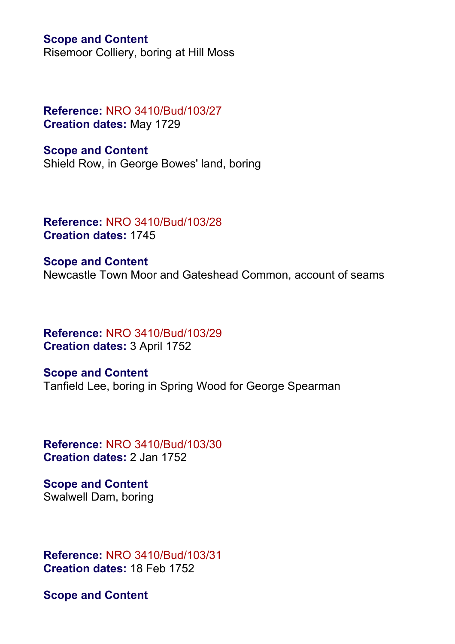#### **Scope and Content**

Risemoor Colliery, boring at Hill Moss

#### **Reference:** NRO 3410/Bud/103/27 **Creation dates:** May 1729

**Scope and Content** Shield Row, in George Bowes' land, boring

**Reference:** NRO 3410/Bud/103/28 **Creation dates:** 1745

**Scope and Content** Newcastle Town Moor and Gateshead Common, account of seams

**Reference:** NRO 3410/Bud/103/29 **Creation dates:** 3 April 1752

**Scope and Content** Tanfield Lee, boring in Spring Wood for George Spearman

**Reference:** NRO 3410/Bud/103/30 **Creation dates:** 2 Jan 1752

**Scope and Content** Swalwell Dam, boring

**Reference:** NRO 3410/Bud/103/31 **Creation dates:** 18 Feb 1752

**Scope and Content**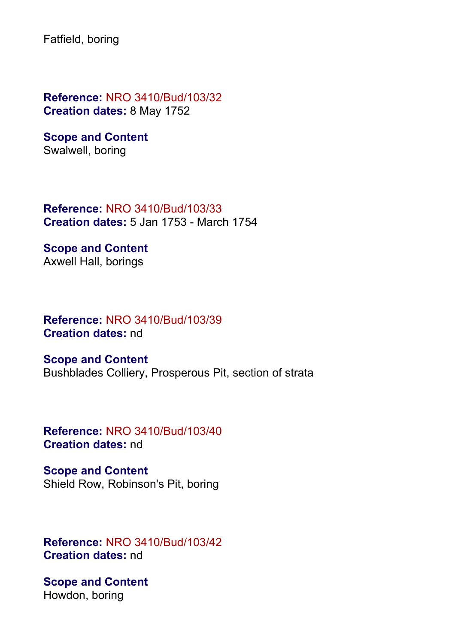Fatfield, boring

**Reference:** NRO 3410/Bud/103/32 **Creation dates:** 8 May 1752

**Scope and Content** Swalwell, boring

**Reference:** NRO 3410/Bud/103/33 **Creation dates:** 5 Jan 1753 - March 1754

**Scope and Content** Axwell Hall, borings

**Reference:** NRO 3410/Bud/103/39 **Creation dates:** nd

**Scope and Content** Bushblades Colliery, Prosperous Pit, section of strata

**Reference:** NRO 3410/Bud/103/40 **Creation dates:** nd

**Scope and Content** Shield Row, Robinson's Pit, boring

**Reference:** NRO 3410/Bud/103/42 **Creation dates:** nd

**Scope and Content** Howdon, boring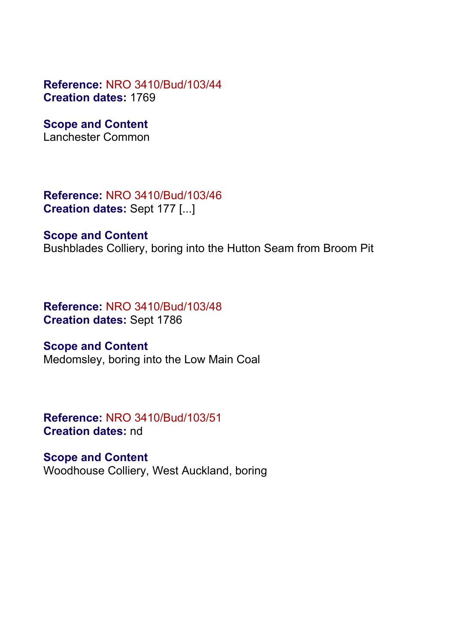**Reference:** NRO 3410/Bud/103/44 **Creation dates:** 1769

**Scope and Content**

Lanchester Common

**Reference:** NRO 3410/Bud/103/46 **Creation dates:** Sept 177 [...]

**Scope and Content**

Bushblades Colliery, boring into the Hutton Seam from Broom Pit

**Reference:** NRO 3410/Bud/103/48 **Creation dates:** Sept 1786

**Scope and Content** Medomsley, boring into the Low Main Coal

**Reference:** NRO 3410/Bud/103/51 **Creation dates:** nd

**Scope and Content** Woodhouse Colliery, West Auckland, boring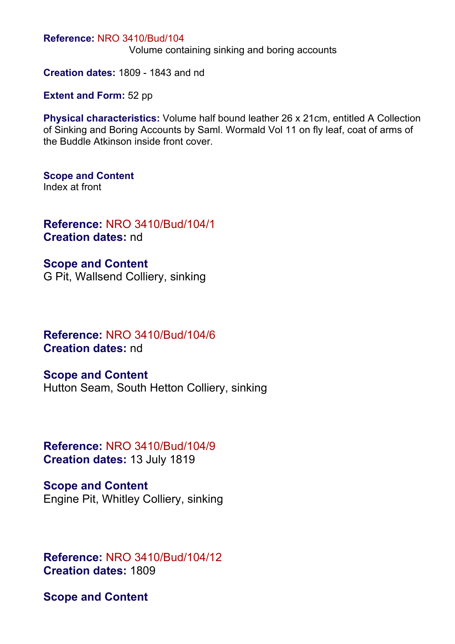#### **Reference:** NRO 3410/Bud/104

Volume containing sinking and boring accounts

**Creation dates:** 1809 - 1843 and nd

**Extent and Form:** 52 pp

**Physical characteristics:** Volume half bound leather 26 x 21cm, entitled A Collection of Sinking and Boring Accounts by Saml. Wormald Vol 11 on fly leaf, coat of arms of the Buddle Atkinson inside front cover.

**Scope and Content** Index at front

**Reference:** NRO 3410/Bud/104/1 **Creation dates:** nd

**Scope and Content** G Pit, Wallsend Colliery, sinking

**Reference:** NRO 3410/Bud/104/6 **Creation dates:** nd

**Scope and Content** Hutton Seam, South Hetton Colliery, sinking

**Reference:** NRO 3410/Bud/104/9 **Creation dates:** 13 July 1819

**Scope and Content** Engine Pit, Whitley Colliery, sinking

**Reference:** NRO 3410/Bud/104/12 **Creation dates:** 1809

**Scope and Content**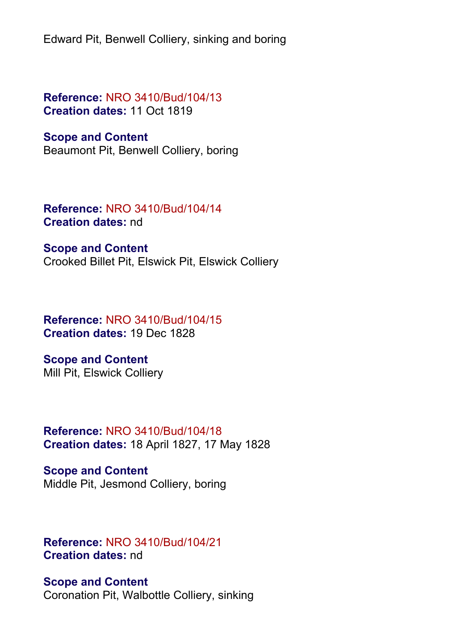Edward Pit, Benwell Colliery, sinking and boring

**Reference:** NRO 3410/Bud/104/13 **Creation dates:** 11 Oct 1819

#### **Scope and Content**

Beaumont Pit, Benwell Colliery, boring

**Reference:** NRO 3410/Bud/104/14 **Creation dates:** nd

**Scope and Content**

Crooked Billet Pit, Elswick Pit, Elswick Colliery

**Reference:** NRO 3410/Bud/104/15 **Creation dates:** 19 Dec 1828

**Scope and Content** Mill Pit, Elswick Colliery

**Reference:** NRO 3410/Bud/104/18 **Creation dates:** 18 April 1827, 17 May 1828

**Scope and Content** Middle Pit, Jesmond Colliery, boring

**Reference:** NRO 3410/Bud/104/21 **Creation dates:** nd

**Scope and Content** Coronation Pit, Walbottle Colliery, sinking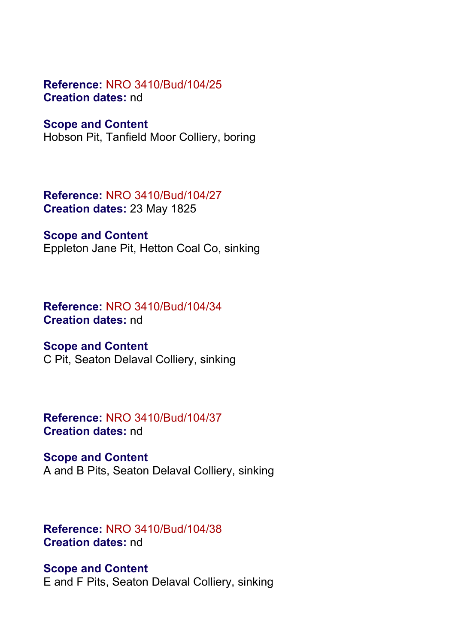#### **Reference:** NRO 3410/Bud/104/25 **Creation dates:** nd

#### **Scope and Content**

Hobson Pit, Tanfield Moor Colliery, boring

## **Reference:** NRO 3410/Bud/104/27 **Creation dates:** 23 May 1825

## **Scope and Content**

Eppleton Jane Pit, Hetton Coal Co, sinking

## **Reference:** NRO 3410/Bud/104/34 **Creation dates:** nd

#### **Scope and Content**

C Pit, Seaton Delaval Colliery, sinking

## **Reference:** NRO 3410/Bud/104/37 **Creation dates:** nd

## **Scope and Content** A and B Pits, Seaton Delaval Colliery, sinking

## **Reference:** NRO 3410/Bud/104/38 **Creation dates:** nd

## **Scope and Content** E and F Pits, Seaton Delaval Colliery, sinking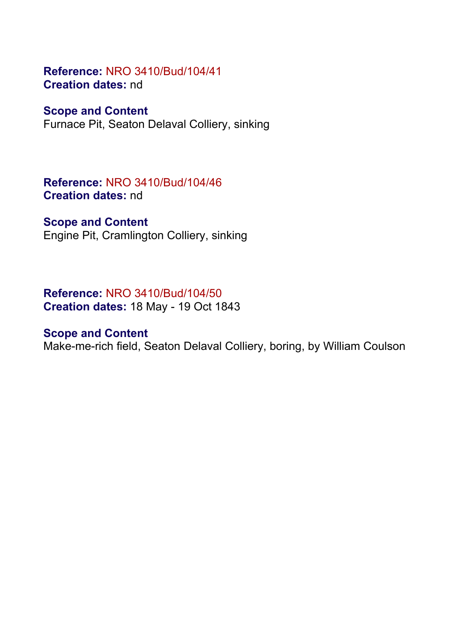## **Reference:** NRO 3410/Bud/104/41 **Creation dates:** nd

#### **Scope and Content**

Furnace Pit, Seaton Delaval Colliery, sinking

**Reference:** NRO 3410/Bud/104/46 **Creation dates:** nd

#### **Scope and Content**

Engine Pit, Cramlington Colliery, sinking

**Reference:** NRO 3410/Bud/104/50 **Creation dates:** 18 May - 19 Oct 1843

## **Scope and Content**

Make-me-rich field, Seaton Delaval Colliery, boring, by William Coulson